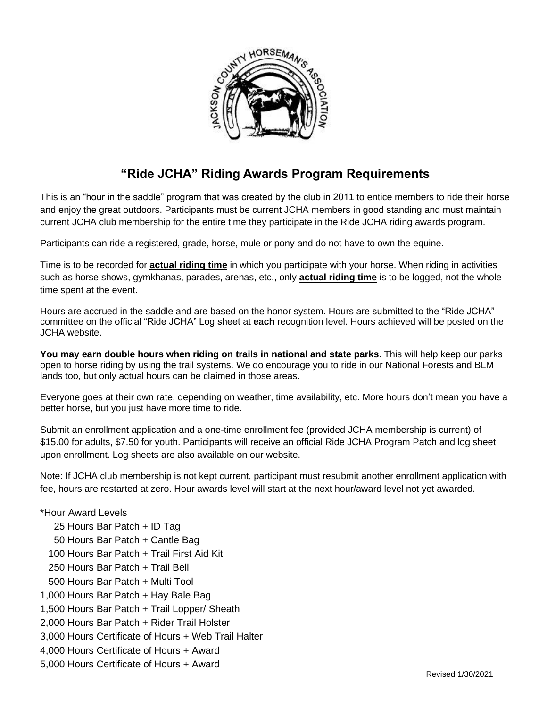

## **"Ride JCHA" Riding Awards Program Requirements**

This is an "hour in the saddle" program that was created by the club in 2011 to entice members to ride their horse and enjoy the great outdoors. Participants must be current JCHA members in good standing and must maintain current JCHA club membership for the entire time they participate in the Ride JCHA riding awards program.

Participants can ride a registered, grade, horse, mule or pony and do not have to own the equine.

Time is to be recorded for **actual riding time** in which you participate with your horse. When riding in activities such as horse shows, gymkhanas, parades, arenas, etc., only **actual riding time** is to be logged, not the whole time spent at the event.

Hours are accrued in the saddle and are based on the honor system. Hours are submitted to the "Ride JCHA" committee on the official "Ride JCHA" Log sheet at **each** recognition level. Hours achieved will be posted on the JCHA website.

**You may earn double hours when riding on trails in national and state parks**. This will help keep our parks open to horse riding by using the trail systems. We do encourage you to ride in our National Forests and BLM lands too, but only actual hours can be claimed in those areas.

Everyone goes at their own rate, depending on weather, time availability, etc. More hours don't mean you have a better horse, but you just have more time to ride.

Submit an enrollment application and a one-time enrollment fee (provided JCHA membership is current) of \$15.00 for adults, \$7.50 for youth. Participants will receive an official Ride JCHA Program Patch and log sheet upon enrollment. Log sheets are also available on our website.

Note: If JCHA club membership is not kept current, participant must resubmit another enrollment application with fee, hours are restarted at zero. Hour awards level will start at the next hour/award level not yet awarded.

## \*Hour Award Levels

 25 Hours Bar Patch + ID Tag 50 Hours Bar Patch + Cantle Bag 100 Hours Bar Patch + Trail First Aid Kit 250 Hours Bar Patch + Trail Bell 500 Hours Bar Patch + Multi Tool 1,000 Hours Bar Patch + Hay Bale Bag 1,500 Hours Bar Patch + Trail Lopper/ Sheath 2,000 Hours Bar Patch + Rider Trail Holster 3,000 Hours Certificate of Hours + Web Trail Halter 4,000 Hours Certificate of Hours + Award 5,000 Hours Certificate of Hours + Award